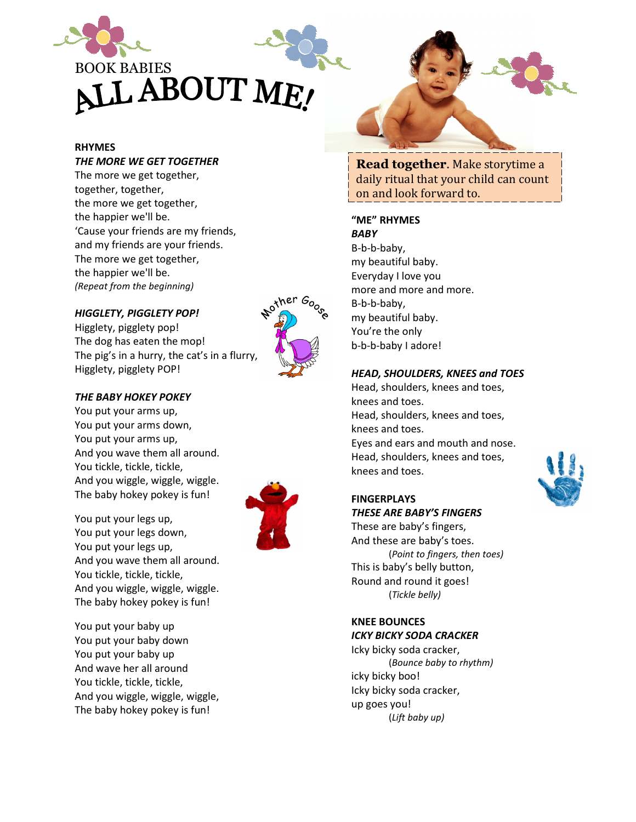

### RHYMES

#### THE MORE WE GET TOGETHER

The more we get together, together, together, the more we get together, the happier we'll be. 'Cause your friends are my friends, and my friends are your friends. The more we get together, the happier we'll be. (Repeat from the beginning)

#### HIGGLETY, PIGGLETY POP!

Higglety, pigglety pop! The dog has eaten the mop! The pig's in a hurry, the cat's in a flurry, Higglety, pigglety POP!

# Nother Google

#### THE BABY HOKEY POKEY

You put your arms up, You put your arms down, You put your arms up, And you wave them all around. You tickle, tickle, tickle, And you wiggle, wiggle, wiggle. The baby hokey pokey is fun!

You put your legs up, You put your legs down, You put your legs up, And you wave them all around. You tickle, tickle, tickle, And you wiggle, wiggle, wiggle. The baby hokey pokey is fun!

You put your baby up You put your baby down You put your baby up And wave her all around You tickle, tickle, tickle, And you wiggle, wiggle, wiggle, The baby hokey pokey is fun!



Read together. Make storytime a daily ritual that your child can count on and look forward to.

#### "ME" RHYMES

**BABY** B-b-b-baby, my beautiful baby. Everyday I love you more and more and more. B-b-b-baby, my beautiful baby. You're the only b-b-b-baby I adore!

#### HEAD, SHOULDERS, KNEES and TOES

Head, shoulders, knees and toes, knees and toes. Head, shoulders, knees and toes, knees and toes. Eyes and ears and mouth and nose. Head, shoulders, knees and toes, knees and toes.

# **FINGERPLAYS**

THESE ARE BABY'S FINGERS These are baby's fingers, And these are baby's toes. (Point to fingers, then toes) This is baby's belly button, Round and round it goes! (Tickle belly)

#### KNEE BOUNCES ICKY BICKY SODA CRACKER

Icky bicky soda cracker, (Bounce baby to rhythm) icky bicky boo! Icky bicky soda cracker, up goes you! (Lift baby up)